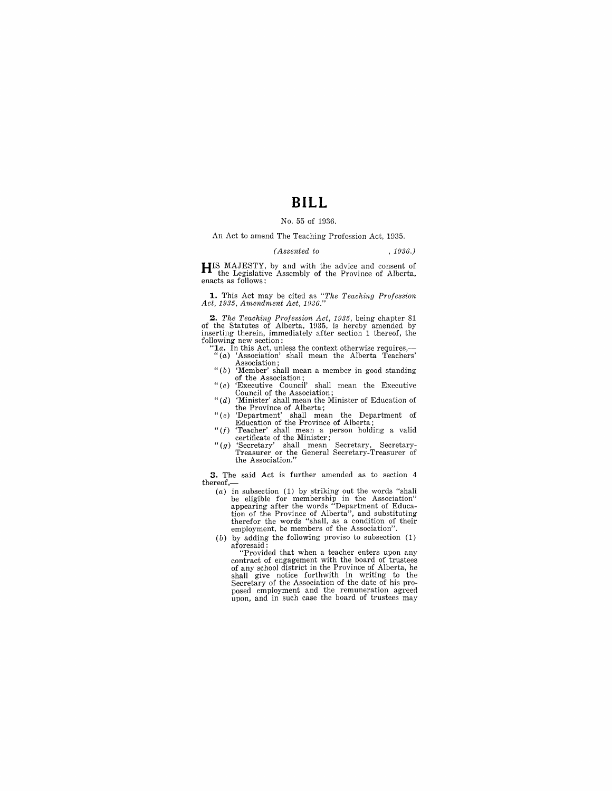# **BILL**

#### No. 55 of 1936.

An Act to amend The Teaching Profession Act, 1935.

#### *(Assented to* , 1936.)

**HIS** MAJESTY, by and with the advice and consent of the Legislative Assembly of the Province of Alberta, enacts as follows:

**1.** This Act may be cited as "The Teaching Profession Act, 1935, Amendment Act, 1936."

**2.** The Teaching Profession Act, 1935, being chapter 81 of the Statutes of Alberta, 1935, is hereby amended by inserting therein, immediately after section 1 thereof, the following new section:

- *"1a.* In this Act, unless the context otherwise requires,- "(a) 'Association' shall mean the Alberta Teachers'
- Association; " (b) 'Member' shall mean a member in good standing of the Association;
- "(c) 'Executive Council' shall mean the Executive Council of the Association; *"(d)* 'Minister' shall mean the Minister of Education of
- 
- the Province of Alberta; " (c) 'Department' shall mean the Department of Education of the Province of Alberta;
- *"(f)* 'Teacher' shall mean a person holding a valid
- certificate of the Minister; "(g) 'Secretary' shall mean Secretary, Secretary-Treasurer or the General Secretary-Treasurer of the Association."

**3.** The said Act is further amended as to section 4  $thereof,$ 

- $(a)$  in subsection (1) by striking out the words "shall be eligible for membership in the Association"<br>appearing after the words "Department of Educa-<br>tion of the Province of Alberta", and substituting<br>therefor the words "shall, as a condition of their<br>employment, be members of
- (b) by adding the following proviso to subsection (1) aforesaid: "Provided that when a teacher enters upon any

contract of engagement with the board of trustees of any school district in the Province of Alberta, he shall give notice forthwith in writing to the Secretary of the Association of the date of his proposed employment and the remuneration agreed upon, and in such case the board of trustees may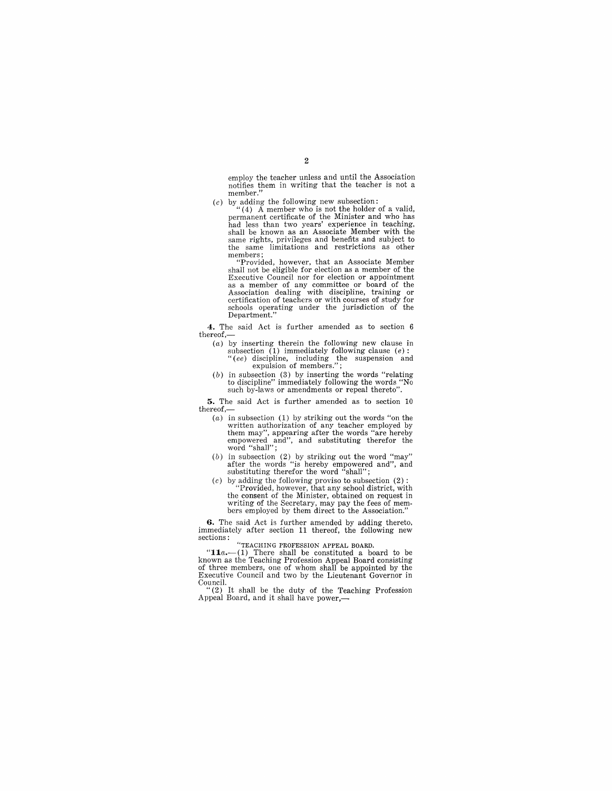employ the teacher unless and until the Association notifies them **in** writing that the teacher is not a member."

(c) by adding the following new subsection:<br>"(4) A member who is not the holder of a valid, permanent certificate of the Minister and who has had less than two years' experience **in** teaching, same rights, privileges and benefits and subject to the same limitations and restrictions as other

members; "Provided, however, that an Associate Member shall not be eligible for election as a member of the Executive Council nor for election or appointment as a member of any committee or board of the Association dealing with discipline, training or certification of teachers or with courses of study for schools operating under the jurisdiction of the Department."

**4.** The said Act is further amended as to section 6 thereof,-

- (a) by inserting therein the following new clause in subsection (1) immediately following clause  $(e)$ :<br>"(ee) discipline, including the suspension and expulsion of members.";
- (b) in subsection (3) by inserting the words "relating to discipline" immediately following the words "No such by-laws or amendments or repeal thereto".

**5.** The said Act is further amended as to section 10 thereof,-

- $(a)$  in subsection  $(1)$  by striking out the words "on the written authorization of any teacher employed by them may", appearing after the words "are hereby empowered and", and substituting therefor the word "shall";
- (b) in subsection (2) by striking out the word "may" after the words "is hereby empowered and", and substituting therefor the word "shall";
- (c) by adding the following proviso to subsection  $(2)$  : "Provided, however, that any school district, with the consent of the Minister, obtained on request in writing of the Secretary, may pay the fees of members employed by them direct to the Association."

**6.** The said Act is further amended by adding thereto, immediately after section 11 thereof, the following new sections: "TEACHING PROFESSION APPEAL BOARD.

*"11a.-(1)* There shall be constituted a board to be known as the Teaching Profession Appeal Board consisting of three members, one of whom shall be appointed by the Executive Council and two by the Lieutenant Governor in

Council. "(2) It shall be the duty of the Teaching Profession Appeal Board, and it shall have power,-

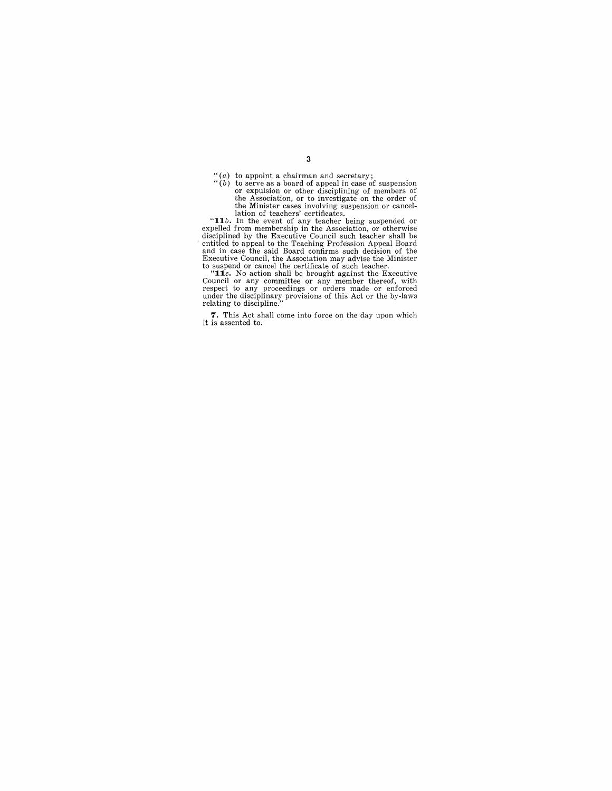$''(a)$  to appoint a chairman and secretary;

"(b) to serve as a board of appeal in case of suspension<br>or expulsion or other disciplining of members of<br>the Association, or to investigate on the order of<br>the Minister cases involving suspension or cancel-<br>lation of tea

**7.** This Act shall come into force on the day upon which it is assented to.

3